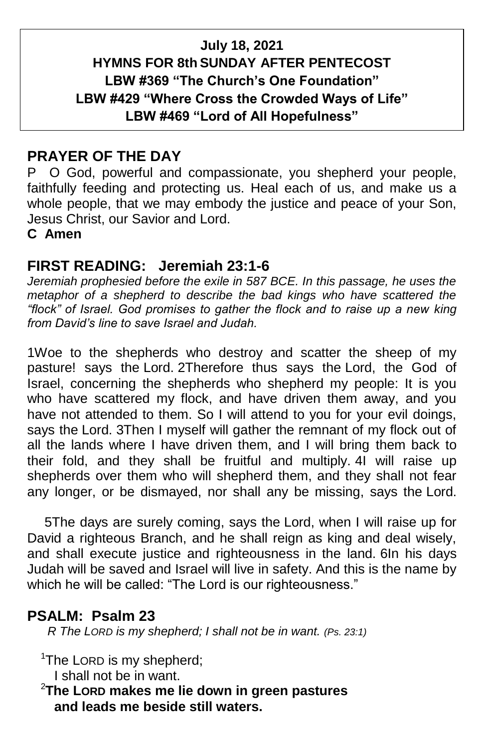### **July 18, 2021 HYMNS FOR 8th SUNDAY AFTER PENTECOST LBW #369 "The Church's One Foundation" LBW #429 "Where Cross the Crowded Ways of Life" LBW #469 "Lord of All Hopefulness"**

### **PRAYER OF THE DAY**

P O God, powerful and compassionate, you shepherd your people, faithfully feeding and protecting us. Heal each of us, and make us a whole people, that we may embody the justice and peace of your Son, Jesus Christ, our Savior and Lord.

**C Amen**

#### **FIRST READING: Jeremiah 23:1-6**

Jeremiah prophesied before the exile in 587 BCE. In this passage, he uses the *metaphor of a shepherd to describe the bad kings who have scattered the "flock" of Israel. God promises to gather the flock and to raise up a new king from David's line to save Israel and Judah.*

1Woe to the shepherds who destroy and scatter the sheep of my pasture! says the Lord. 2Therefore thus says the Lord, the God of Israel, concerning the shepherds who shepherd my people: It is you who have scattered my flock, and have driven them away, and you have not attended to them. So I will attend to you for your evil doings, says the Lord. 3Then I myself will gather the remnant of my flock out of all the lands where I have driven them, and I will bring them back to their fold, and they shall be fruitful and multiply. 4I will raise up shepherds over them who will shepherd them, and they shall not fear any longer, or be dismayed, nor shall any be missing, says the Lord.

5The days are surely coming, says the Lord, when I will raise up for David a righteous Branch, and he shall reign as king and deal wisely, and shall execute justice and righteousness in the land. 6In his days Judah will be saved and Israel will live in safety. And this is the name by which he will be called: "The Lord is our righteousness."

### **PSALM: Psalm 23**

 *R The LORD is my shepherd; I shall not be in want. (Ps. 23:1)*

<sup>1</sup>The LORD is my shepherd;

I shall not be in want.

<sup>2</sup>**The LORD makes me lie down in green pastures and leads me beside still waters.**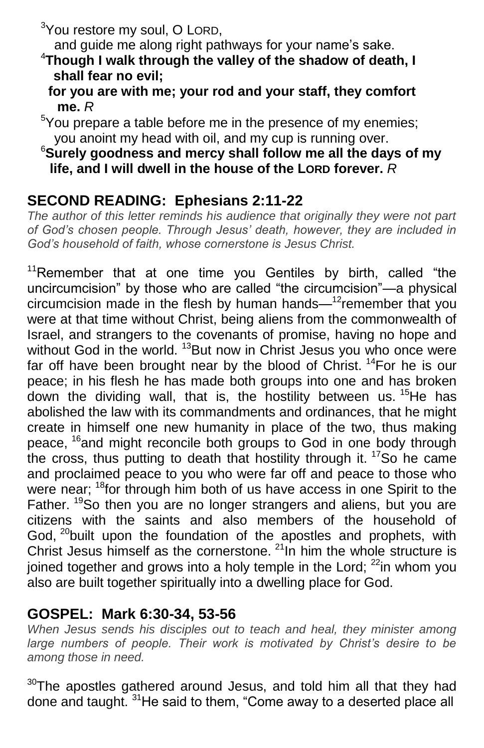<sup>3</sup>You restore my soul, O LORD,

and guide me along right pathways for your name's sake.

- <sup>4</sup>**Though I walk through the valley of the shadow of death, I shall fear no evil;**
	- **for you are with me; your rod and your staff, they comfort me.** *R*
- $5$ You prepare a table before me in the presence of my enemies; you anoint my head with oil, and my cup is running over.

#### <sup>6</sup>**Surely goodness and mercy shall follow me all the days of my life, and I will dwell in the house of the LORD forever.** *R*

## **SECOND READING: Ephesians 2:11-22**

*The author of this letter reminds his audience that originally they were not part of God's chosen people. Through Jesus' death, however, they are included in God's household of faith, whose cornerstone is Jesus Christ.*

 $11$ Remember that at one time you Gentiles by birth, called "the uncircumcision" by those who are called "the circumcision"—a physical circumcision made in the flesh by human hands—<sup>12</sup>remember that you were at that time without Christ, being aliens from the commonwealth of Israel, and strangers to the covenants of promise, having no hope and without God in the world. <sup>13</sup>But now in Christ Jesus you who once were far off have been brought near by the blood of Christ.  $14$  For he is our peace; in his flesh he has made both groups into one and has broken down the dividing wall, that is, the hostility between us. <sup>15</sup>He has abolished the law with its commandments and ordinances, that he might create in himself one new humanity in place of the two, thus making peace, <sup>16</sup>and might reconcile both groups to God in one body through the cross, thus putting to death that hostility through it. <sup>17</sup>So he came and proclaimed peace to you who were far off and peace to those who were near; <sup>18</sup>for through him both of us have access in one Spirit to the Father. <sup>19</sup>So then you are no longer strangers and aliens, but you are citizens with the saints and also members of the household of God, <sup>20</sup>built upon the foundation of the apostles and prophets, with Christ Jesus himself as the cornerstone. <sup>21</sup>In him the whole structure is joined together and grows into a holy temple in the Lord;  $22$ in whom you also are built together spiritually into a dwelling place for God.

### **GOSPEL: Mark 6:30-34, 53-56**

*When Jesus sends his disciples out to teach and heal, they minister among*  large numbers of people. Their work is motivated by Christ's desire to be *among those in need.*

 $30$ The apostles gathered around Jesus, and told him all that they had done and taught. <sup>31</sup>He said to them, "Come away to a deserted place all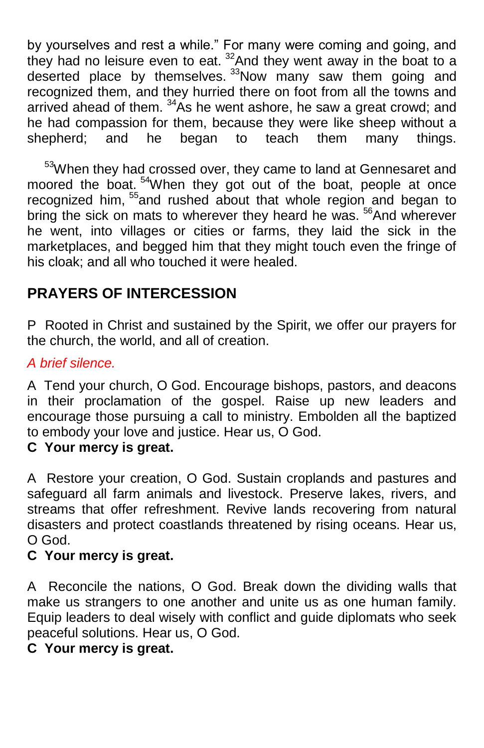by yourselves and rest a while." For many were coming and going, and they had no leisure even to eat.  $32$  And they went away in the boat to a deserted place by themselves. <sup>33</sup>Now many saw them going and recognized them, and they hurried there on foot from all the towns and arrived ahead of them.  $34\text{\AA}$ s he went ashore, he saw a great crowd; and he had compassion for them, because they were like sheep without a shepherd; and he began to teach them many things.

<sup>53</sup>When they had crossed over, they came to land at Gennesaret and moored the boat. <sup>54</sup>When they got out of the boat, people at once recognized him, <sup>55</sup>and rushed about that whole region and began to bring the sick on mats to wherever they heard he was. <sup>56</sup>And wherever he went, into villages or cities or farms, they laid the sick in the marketplaces, and begged him that they might touch even the fringe of his cloak; and all who touched it were healed.

# **PRAYERS OF INTERCESSION**

P Rooted in Christ and sustained by the Spirit, we offer our prayers for the church, the world, and all of creation.

#### *A brief silence.*

A Tend your church, O God. Encourage bishops, pastors, and deacons in their proclamation of the gospel. Raise up new leaders and encourage those pursuing a call to ministry. Embolden all the baptized to embody your love and justice. Hear us, O God.

### **C Your mercy is great.**

A Restore your creation, O God. Sustain croplands and pastures and safeguard all farm animals and livestock. Preserve lakes, rivers, and streams that offer refreshment. Revive lands recovering from natural disasters and protect coastlands threatened by rising oceans. Hear us, O God.

#### **C Your mercy is great.**

A Reconcile the nations, O God. Break down the dividing walls that make us strangers to one another and unite us as one human family. Equip leaders to deal wisely with conflict and guide diplomats who seek peaceful solutions. Hear us, O God.

#### **C Your mercy is great.**